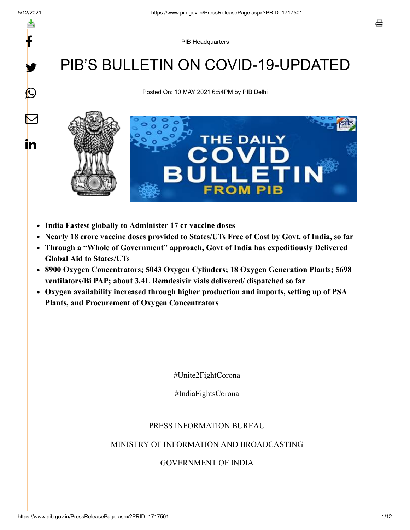y.

 $\bigcirc$ 

 $\bm{\nabla}$ 

in

PIB Headquarters

# PIB'S BULLETIN ON COVID-19-UPDATED

Posted On: 10 MAY 2021 6:54PM by PIB Delhi



- **India Fastest globally to Administer 17 cr vaccine doses**
- **Nearly 18 crore vaccine doses provided to States/UTs Free of Cost by Govt. of India, so far**
- **Through a "Whole of Government" approach, Govt of India has expeditiously Delivered Global Aid to States/UTs**
- **8900 Oxygen Concentrators; 5043 Oxygen Cylinders; 18 Oxygen Generation Plants; 5698**  $\bullet$ **ventilators/Bi PAP; about 3.4L Remdesivir vials delivered/ dispatched so far**
- **Oxygen availability increased through higher production and imports, setting up of PSA**  $\bullet$ **Plants, and Procurement of Oxygen Concentrators**

#Unite2FightCorona

#IndiaFightsCorona

#### PRESS INFORMATION BUREAU

#### MINISTRY OF INFORMATION AND BROADCASTING

#### GOVERNMENT OF INDIA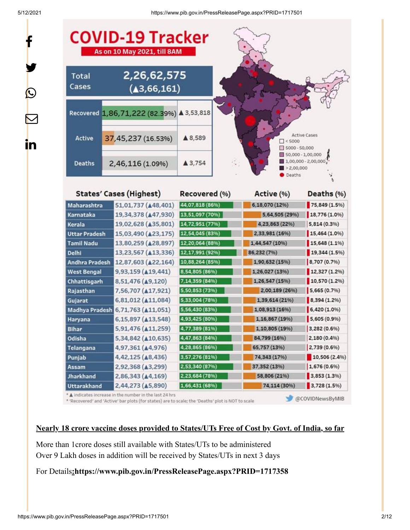y.

 $\bf \Omega$ 

 $\bm{\nabla}$ 

<u>in</u>

5/12/2021 https://www.pib.gov.in/PressReleasePage.aspx?PRID=1717501



\* 'Recovered' and 'Active' bar plots (for states) are to scale; the 'Deaths' plot is NOT to scale

@COVIDNewsByMIB

#### **Nearly 18 crore vaccine doses provided to States/UTs Free of Cost by Govt. of India, so far**

More than 1crore doses still available with States/UTs to be administered Over 9 Lakh doses in addition will be received by States/UTs in next 3 days

#### For Details**:<https://www.pib.gov.in/PressReleasePage.aspx?PRID=1717358>**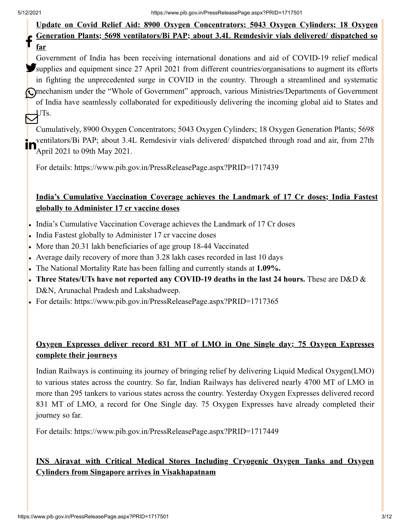#### **Update on Covid Relief Aid: 8900 Oxygen Concentrators; 5043 Oxygen Cylinders; 18 Oxygen Generation Plants; 5698 ventilators/Bi PAP; about 3.4L Remdesivir vials delivered/ dispatched so far** f

Government of India has been receiving international donations and aid of COVID-19 relief medical Supplies and equipment since 27 April 2021 from different countries/organisations to augment its efforts in fighting the unprecedented surge in COVID in the country. Through a streamlined and systematic mechanism under the "Whole of Government" approach, various Ministries/Departments of Government of India have seamlessly collaborated for expeditiously delivering the incoming global aid to States and  $\bigtriangledown^{\text{ITs.}}$ 

Cumulatively, 8900 Oxygen Concentrators; 5043 Oxygen Cylinders; 18 Oxygen Generation Plants; 5698 ventilators/Bi PAP; about 3.4L Remdesivir vials delivered/ dispatched through road and air, from 27th April 2021 to 09th May 2021. in

For details:<https://www.pib.gov.in/PressReleasePage.aspx?PRID=1717439>

## **India's Cumulative Vaccination Coverage achieves the Landmark of 17 Cr doses; India Fastest globally to Administer 17 cr vaccine doses**

- India's Cumulative Vaccination Coverage achieves the Landmark of 17 Cr doses
- India Fastest globally to Administer 17 cr vaccine doses
- More than 20.31 lakh beneficiaries of age group 18-44 Vaccinated
- Average daily recovery of more than 3.28 lakh cases recorded in last 10 days
- The National Mortality Rate has been falling and currently stands at **1.09%.**
- **Three States/UTs have not reported any COVID-19 deaths in the last 24 hours.** These are D&D & D&N, Arunachal Pradesh and Lakshadweep.
- For details:<https://www.pib.gov.in/PressReleasePage.aspx?PRID=1717365>

## **Oxygen Expresses deliver record 831 MT of LMO in One Single day; 75 Oxygen Expresses complete their journeys**

Indian Railways is continuing its journey of bringing relief by delivering Liquid Medical Oxygen(LMO) to various states across the country. So far, Indian Railways has delivered nearly 4700 MT of LMO in more than 295 tankers to various states across the country. Yesterday Oxygen Expresses delivered record 831 MT of LMO, a record for One Single day. 75 Oxygen Expresses have already completed their journey so far.

For details:<https://www.pib.gov.in/PressReleasePage.aspx?PRID=1717449>

## **INS Airavat with Critical Medical Stores Including Cryogenic Oxygen Tanks and Oxygen Cylinders from Singapore arrives in Visakhapatnam**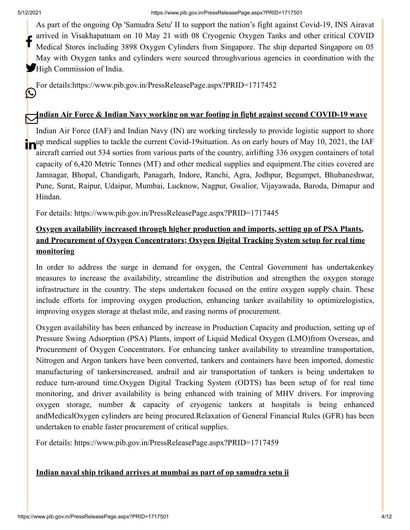As part of the ongoing Op 'Samudra Setu' II to support the nation's fight against Covid-19, INS Airavat arrived in Visakhapatnam on 10 May 21 with 08 Cryogenic Oxygen Tanks and other critical COVID Medical Stores including 3898 Oxygen Cylinders from Singapore. The ship departed Singapore on 05 May with Oxygen tanks and cylinders were sourced throughvarious agencies in coordination with the High Commission of India. f

For details[:https://www.pib.gov.in/PressReleasePage.aspx?PRID=1717452](https://www.pib.gov.in/PressReleasePage.aspx?PRID=1717452) (K.)

## **Indian Air Force & Indian Navy working on war footing in fight against second COVID-19 wave**

Indian Air Force (IAF) and Indian Navy (IN) are working tirelessly to provide logistic support to shore nup medical supplies to tackle the current Covid-19situation. As on early hours of May 10, 2021, the IAF aircraft carried out 534 sorties from various parts of the country, airlifting 336 oxygen containers of total capacity of 6,420 Metric Tonnes (MT) and other medical supplies and equipment.The cities covered are Jamnagar, Bhopal, Chandigarh, Panagarh, Indore, Ranchi, Agra, Jodhpur, Begumpet, Bhubaneshwar, Pune, Surat, Raipur, Udaipur, Mumbai, Lucknow, Nagpur, Gwalior, Vijayawada, Baroda, Dimapur and Hindan.

For details:<https://www.pib.gov.in/PressReleasePage.aspx?PRID=1717445>

## **Oxygen availability increased through higher production and imports, setting up of PSA Plants, and Procurement of Oxygen Concentrators; Oxygen Digital Tracking System setup for real time monitoring**

In order to address the surge in demand for oxygen, the Central Government has undertakenkey measures to increase the availability, streamline the distribution and strengthen the oxygen storage infrastructure in the country. The steps undertaken focused on the entire oxygen supply chain. These include efforts for improving oxygen production, enhancing tanker availability to optimizelogistics, improving oxygen storage at thelast mile, and easing norms of procurement.

Oxygen availability has been enhanced by increase in Production Capacity and production, setting up of Pressure Swing Adsorption (PSA) Plants, import of Liquid Medical Oxygen (LMO)from Overseas, and Procurement of Oxygen Concentrators. For enhancing tanker availability to streamline transportation, Nitrogen and Argon tankers have been converted, tankers and containers have been imported, domestic manufacturing of tankersincreased, andrail and air transportation of tankers is being undertaken to reduce turn-around time.Oxygen Digital Tracking System (ODTS) has been setup of for real time monitoring, and driver availability is being enhanced with training of MHV drivers. For improving oxygen storage, number & capacity of cryogenic tankers at hospitals is being enhanced andMedicalOxygen cylinders are being procured.Relaxation of General Financial Rules (GFR) has been undertaken to enable faster procurement of critical supplies.

For details:<https://www.pib.gov.in/PressReleasePage.aspx?PRID=1717459>

## **Indian naval ship trikand arrives at mumbai as part of op samudra setu ii**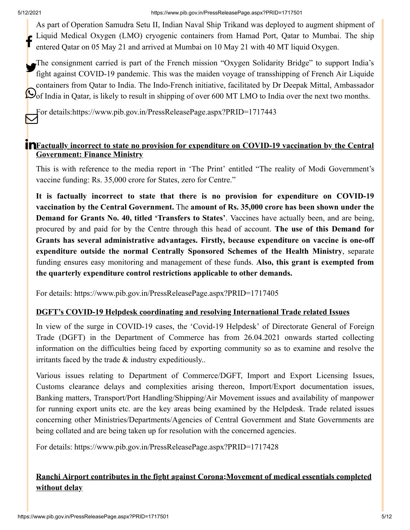As part of Operation Samudra Setu II, Indian Naval Ship Trikand was deployed to augment shipment of Liquid Medical Oxygen (LMO) cryogenic containers from Hamad Port, Qatar to Mumbai. The ship entered Qatar on 05 May 21 and arrived at Mumbai on 10 May 21 with 40 MT liquid Oxygen. f

The consignment carried is part of the French mission "Oxygen Solidarity Bridge" to support India's The consignment carried is part of the French mission "Oxygen Solidarity Bridge" to support India's<br>fight against COVID-19 pandemic. This was the maiden voyage of transshipping of French Air Liquide containers from Qatar to India. The Indo-French initiative, facilitated by Dr Deepak Mittal, Ambassador Oof India in Qatar, is likely to result in shipping of over 600 MT LMO to India over the next two months.

For details[:https://www.pib.gov.in/PressReleasePage.aspx?PRID=1717443](https://www.pib.gov.in/PressReleasePage.aspx?PRID=1717443)  $\bm{\mathsf{\Xi}}$ 

## **Factually incorrect to state no provision for expenditure on COVID-19 vaccination by the Central Government: Finance Ministry**

This is with reference to the media report in 'The Print' entitled "The reality of Modi Government's vaccine funding: Rs. 35,000 crore for States, zero for Centre."

**It is factually incorrect to state that there is no provision for expenditure on COVID-19 vaccination by the Central Government.** The **amount of Rs. 35,000 crore has been shown under the Demand for Grants No. 40, titled 'Transfers to States'**. Vaccines have actually been, and are being, procured by and paid for by the Centre through this head of account. **The use of this Demand for Grants has several administrative advantages. Firstly, because expenditure on vaccine is one-off expenditure outside the normal Centrally Sponsored Schemes of the Health Ministry**, separate funding ensures easy monitoring and management of these funds. **Also, this grant is exempted from the quarterly expenditure control restrictions applicable to other demands.**

For details:<https://www.pib.gov.in/PressReleasePage.aspx?PRID=1717405>

## **DGFT's COVID-19 Helpdesk coordinating and resolving International Trade related Issues**

In view of the surge in COVID-19 cases, the 'Covid-19 Helpdesk' of Directorate General of Foreign Trade (DGFT) in the Department of Commerce has from 26.04.2021 onwards started collecting information on the difficulties being faced by exporting community so as to examine and resolve the irritants faced by the trade & industry expeditiously..

Various issues relating to Department of Commerce/DGFT, Import and Export Licensing Issues, Customs clearance delays and complexities arising thereon, Import/Export documentation issues, Banking matters, Transport/Port Handling/Shipping/Air Movement issues and availability of manpower for running export units etc. are the key areas being examined by the Helpdesk. Trade related issues concerning other Ministries/Departments/Agencies of Central Government and State Governments are being collated and are being taken up for resolution with the concerned agencies.

For details:<https://www.pib.gov.in/PressReleasePage.aspx?PRID=1717428>

## **Ranchi Airport contributes in the fight against Corona;Movement of medical essentials completed without delay**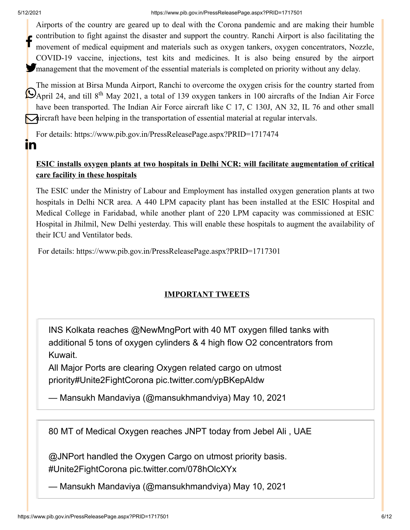$\mathbf{m}$ 

Airports of the country are geared up to deal with the Corona pandemic and are making their humble contribution to fight against the disaster and support the country. Ranchi Airport is also facilitating the movement of medical equipment and materials such as oxygen tankers, oxygen concentrators, Nozzle, COVID-19 vaccine, injections, test kits and medicines. It is also being ensured by the airport management that the movement of the essential materials is completed on priority without any delay. f

The mission at Birsa Munda Airport, Ranchi to overcome the oxygen crisis for the country started from  $\bigcirc$ April 24, and till 8<sup>th</sup> May 2021, a total of 139 oxygen tankers in 100 aircrafts of the Indian Air Force have been transported. The Indian Air Force aircraft like C 17, C 130J, AN 32, IL 76 and other small **A**ircraft have been helping in the transportation of essential material at regular intervals.

For details:<https://www.pib.gov.in/PressReleasePage.aspx?PRID=1717474>

## **ESIC installs oxygen plants at two hospitals in Delhi NCR; will facilitate augmentation of critical care facility in these hospitals**

The ESIC under the Ministry of Labour and Employment has installed oxygen generation plants at two hospitals in Delhi NCR area. A 440 LPM capacity plant has been installed at the ESIC Hospital and Medical College in Faridabad, while another plant of 220 LPM capacity was commissioned at ESIC Hospital in Jhilmil, New Delhi yesterday. This will enable these hospitals to augment the availability of their ICU and Ventilator beds.

For details:<https://www.pib.gov.in/PressReleasePage.aspx?PRID=1717301>

## **IMPORTANT TWEETS**

INS Kolkata reaches [@NewMngPort](https://twitter.com/NewMngPort?ref_src=twsrc%5Etfw) with 40 MT oxygen filled tanks with additional 5 tons of oxygen cylinders & 4 high flow O2 concentrators from Kuwait.

All Major Ports are clearing Oxygen related cargo on utmost priority[#Unite2FightCorona](https://twitter.com/hashtag/Unite2FightCorona?src=hash&ref_src=twsrc%5Etfw) [pic.twitter.com/ypBKepAIdw](https://t.co/ypBKepAIdw)

— Mansukh Mandaviya (@mansukhmandviya) [May 10, 2021](https://twitter.com/mansukhmandviya/status/1391718613275463680?ref_src=twsrc%5Etfw)

80 MT of Medical Oxygen reaches JNPT today from Jebel Ali , UAE

[@JNPort](https://twitter.com/JNPort?ref_src=twsrc%5Etfw) handled the Oxygen Cargo on utmost priority basis. [#Unite2FightCorona](https://twitter.com/hashtag/Unite2FightCorona?src=hash&ref_src=twsrc%5Etfw) [pic.twitter.com/078hOlcXYx](https://t.co/078hOlcXYx)

— Mansukh Mandaviya (@mansukhmandviya) [May 10, 2021](https://twitter.com/mansukhmandviya/status/1391713354528419846?ref_src=twsrc%5Etfw)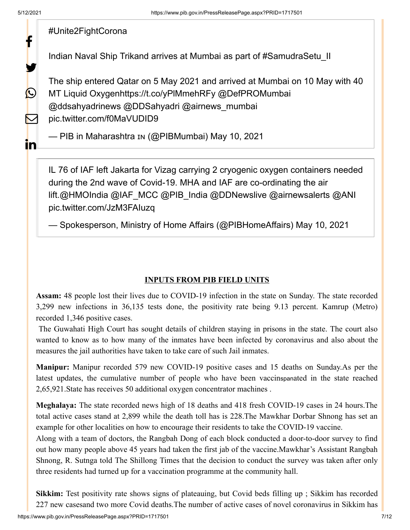У.

 $\bigcirc$ 

 $\sum$ 

<u>in</u>

## [#Unite2FightCorona](https://twitter.com/hashtag/Unite2FightCorona?src=hash&ref_src=twsrc%5Etfw)

Indian Naval Ship Trikand arrives at Mumbai as part of [#SamudraSetu\\_II](https://twitter.com/hashtag/SamudraSetu_II?src=hash&ref_src=twsrc%5Etfw)

The ship entered Qatar on 5 May 2021 and arrived at Mumbai on 10 May with 40 MT Liquid Oxygen<https://t.co/yPlMmehRFy> [@DefPROMumbai](https://twitter.com/DefPROMumbai?ref_src=twsrc%5Etfw) [@ddsahyadrinews](https://twitter.com/ddsahyadrinews?ref_src=twsrc%5Etfw) [@DDSahyadri](https://twitter.com/DDSahyadri?ref_src=twsrc%5Etfw) [@airnews\\_mumbai](https://twitter.com/airnews_mumbai?ref_src=twsrc%5Etfw) [pic.twitter.com/f0MaVUDID9](https://t.co/f0MaVUDID9)

— PIB in Maharashtra ім (@PIBMumbai) [May 10, 2021](https://twitter.com/PIBMumbai/status/1391704043987382275?ref_src=twsrc%5Etfw)

IL 76 of IAF left Jakarta for Vizag carrying 2 cryogenic oxygen containers needed during the 2nd wave of Covid-19. MHA and IAF are co-ordinating the air lift[.@HMOIndia](https://twitter.com/HMOIndia?ref_src=twsrc%5Etfw) [@IAF\\_MCC](https://twitter.com/IAF_MCC?ref_src=twsrc%5Etfw) [@PIB\\_India](https://twitter.com/PIB_India?ref_src=twsrc%5Etfw) [@DDNewslive](https://twitter.com/DDNewslive?ref_src=twsrc%5Etfw) [@airnewsalerts](https://twitter.com/airnewsalerts?ref_src=twsrc%5Etfw) [@ANI](https://twitter.com/ANI?ref_src=twsrc%5Etfw) [pic.twitter.com/JzM3FAIuzq](https://t.co/JzM3FAIuzq)

— Spokesperson, Ministry of Home Affairs (@PIBHomeAffairs) [May 10, 2021](https://twitter.com/PIBHomeAffairs/status/1391734876252999685?ref_src=twsrc%5Etfw)

#### **INPUTS FROM PIB FIELD UNITS**

**Assam:** 48 people lost their lives due to COVID-19 infection in the state on Sunday. The state recorded 3,299 new infections in 36,135 tests done, the positivity rate being 9.13 percent. Kamrup (Metro) recorded 1,346 positive cases.

The Guwahati High Court has sought details of children staying in prisons in the state. The court also wanted to know as to how many of the inmates have been infected by coronavirus and also about the measures the jail authorities have taken to take care of such Jail inmates.

**Manipur:** Manipur recorded 579 new COVID-19 positive cases and 15 deaths on Sunday.As per the latest updates, the cumulative number of people who have been vaccin[span](javascript:void()ated in the state reached 2,65,921.State has receives 50 additional oxygen concentrator machines .

**Meghalaya:** The state recorded news high of 18 deaths and 418 fresh COVID-19 cases in 24 hours.The total active cases stand at 2,899 while the death toll has is 228.The Mawkhar Dorbar Shnong has set an example for other localities on how to encourage their residents to take the COVID-19 vaccine.

Along with a team of doctors, the Rangbah Dong of each block conducted a door-to-door survey to find out how many people above 45 years had taken the first jab of the vaccine.Mawkhar's Assistant Rangbah Shnong, R. Sutnga told The Shillong Times that the decision to conduct the survey was taken after only three residents had turned up for a vaccination programme at the community hall.

**Sikkim:** Test positivity rate shows signs of plateauing, but Covid beds filling up ; Sikkim has recorded 227 new casesand two more Covid deaths.The number of active cases of novel coronavirus in Sikkim has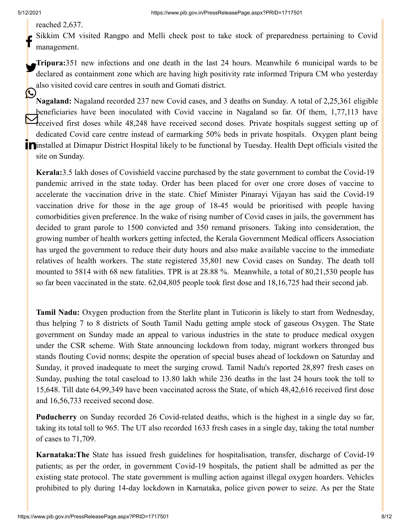#### reached 2,637.

Sikkim CM visited Rangpo and Melli check post to take stock of preparedness pertaining to Covid management. f

**Tripura:**351 new infections and one death in the last 24 hours. Meanwhile 6 municipal wards to be declared as containment zone which are having high positivity rate informed Tripura CM who yesterday also visited covid care centres in south and Gomati district.

**Nagaland:** Nagaland recorded 237 new Covid cases, and 3 deaths on Sunday. A total of 2,25,361 eligible beneficiaries have been inoculated with Covid vaccine in Nagaland so far. Of them, 1,77,113 have **PERSONAL FIRST STATE STATE IN ALL AND SET ASSESS**<br>The ceived first doses while 48,248 have received second doses. Private hospitals suggest setting up of dedicated Covid care centre instead of earmarking 50% beds in private hospitals. Oxygen plant being installed at Dimapur District Hospital likely to be functional by Tuesday. Health Dept officials visited the site on Sunday. C

**Kerala:**3.5 lakh doses of Covishield vaccine purchased by the state government to combat the Covid-19 pandemic arrived in the state today. Order has been placed for over one crore doses of vaccine to accelerate the vaccination drive in the state. Chief Minister Pinarayi Vijayan has said the Covid-19 vaccination drive for those in the age group of 18-45 would be prioritised with people having comorbidities given preference. In the wake of rising number of Covid cases in jails, the government has decided to grant parole to 1500 convicted and 350 remand prisoners. Taking into consideration, the growing number of health workers getting infected, the Kerala Government Medical officers Association has urged the government to reduce their duty hours and also make available vaccine to the immediate relatives of health workers. The state registered 35,801 new Covid cases on Sunday. The death toll mounted to 5814 with 68 new fatalities. TPR is at 28.88 %. Meanwhile, a total of 80,21,530 people has so far been vaccinated in the state. 62,04,805 people took first dose and 18,16,725 had their second jab.

**Tamil Nadu:** Oxygen production from the Sterlite plant in Tuticorin is likely to start from Wednesday, thus helping 7 to 8 districts of South Tamil Nadu getting ample stock of gaseous Oxygen. The State government on Sunday made an appeal to various industries in the state to produce medical oxygen under the CSR scheme. With State announcing lockdown from today, migrant workers thronged bus stands flouting Covid norms; despite the operation of special buses ahead of lockdown on Saturday and Sunday, it proved inadequate to meet the surging crowd. Tamil Nadu's reported 28,897 fresh cases on Sunday, pushing the total caseload to 13.80 lakh while 236 deaths in the last 24 hours took the toll to 15,648. Till date 64,99,349 have been vaccinated across the State, of which 48,42,616 received first dose and 16,56,733 received second dose.

**Puducherry** on Sunday recorded 26 Covid-related deaths, which is the highest in a single day so far, taking its total toll to 965. The UT also recorded 1633 fresh cases in a single day, taking the total number of cases to 71,709.

**Karnataka:The** State has issued fresh guidelines for hospitalisation, transfer, discharge of Covid-19 patients; as per the order, in government Covid-19 hospitals, the patient shall be admitted as per the existing state protocol. The state government is mulling action against illegal oxygen hoarders. Vehicles prohibited to ply during 14-day lockdown in Karnataka, police given power to seize. As per the State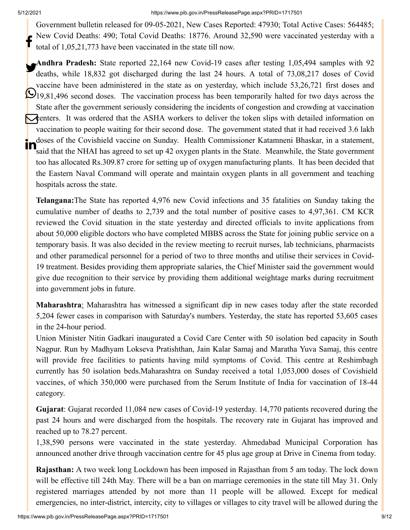#### 5/12/2021 https://www.pib.gov.in/PressReleasePage.aspx?PRID=1717501

Government bulletin released for 09-05-2021, New Cases Reported: 47930; Total Active Cases: 564485; New Covid Deaths: 490; Total Covid Deaths: 18776. Around 32,590 were vaccinated yesterday with a total of 1,05,21,773 have been vaccinated in the state till now. f

**Andhra Pradesh:** State reported 22,164 new Covid-19 cases after testing 1,05,494 samples with 92 deaths, while 18,832 got discharged during the last 24 hours. A total of 73,08,217 doses of Covid vaccine have been administered in the state as on yesterday, which include 53,26,721 first doses and 19,81,496 second doses. The vaccination process has been temporarily halted for two days across the State after the government seriously considering the incidents of congestion and crowding at vaccination centers. It was ordered that the ASHA workers to deliver the token slips with detailed information on vaccination to people waiting for their second dose. The government stated that it had received 3.6 lakh doses of the Covishield vaccine on Sunday. Health Commissioner Katamneni Bhaskar, in a statement, said that the NHAI has agreed to set up 42 oxygen plants in the State. Meanwhile, the State government too has allocated Rs.309.87 crore for setting up of oxygen manufacturing plants. It has been decided that the Eastern Naval Command will operate and maintain oxygen plants in all government and teaching hospitals across the state. in

**Telangana:**The State has reported 4,976 new Covid infections and 35 fatalities on Sunday taking the cumulative number of deaths to 2,739 and the total number of positive cases to 4,97,361. CM KCR reviewed the Covid situation in the state yesterday and directed officials to invite applications from about 50,000 eligible doctors who have completed MBBS across the State for joining public service on a temporary basis. It was also decided in the review meeting to recruit nurses, lab technicians, pharmacists and other paramedical personnel for a period of two to three months and utilise their services in Covid-19 treatment. Besides providing them appropriate salaries, the Chief Minister said the government would give due recognition to their service by providing them additional weightage marks during recruitment into government jobs in future.

**Maharashtra**: Maharashtra has witnessed a significant dip in new cases today after the state recorded 5,204 fewer cases in comparison with Saturday's numbers. Yesterday, the state has reported 53,605 cases in the 24-hour period.

Union Minister Nitin Gadkari inaugurated a Covid Care Center with 50 isolation bed capacity in South Nagpur. Run by Madhyam Lokseva Pratishthan, Jain Kalar Samaj and Maratha Yuva Samaj, this centre will provide free facilities to patients having mild symptoms of Covid. This centre at Reshimbagh currently has 50 isolation beds.Maharashtra on Sunday received a total 1,053,000 doses of Covishield vaccines, of which 350,000 were purchased from the Serum Institute of India for vaccination of 18-44 category.

**Gujarat**: Gujarat recorded 11,084 new cases of Covid-19 yesterday. 14,770 patients recovered during the past 24 hours and were discharged from the hospitals. The recovery rate in Gujarat has improved and reached up to 78.27 percent.

1,38,590 persons were vaccinated in the state yesterday. Ahmedabad Municipal Corporation has announced another drive through vaccination centre for 45 plus age group at Drive in Cinema from today.

**Rajasthan:** A two week long Lockdown has been imposed in Rajasthan from 5 am today. The lock down will be effective till 24th May. There will be a ban on marriage ceremonies in the state till May 31. Only registered marriages attended by not more than 11 people will be allowed. Except for medical emergencies, no inter-district, intercity, city to villages or villages to city travel will be allowed during the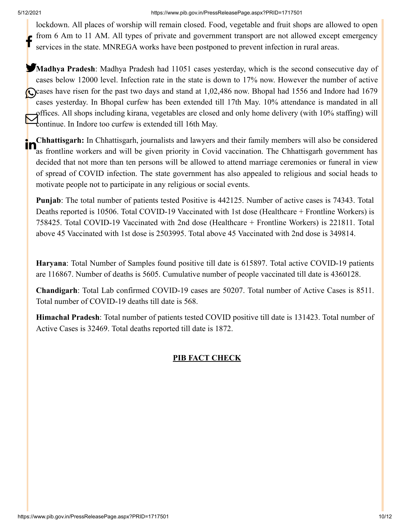lockdown. All places of worship will remain closed. Food, vegetable and fruit shops are allowed to open from 6 Am to 11 AM. All types of private and government transport are not allowed except emergency services in the state. MNREGA works have been postponed to prevent infection in rural areas. f

**Madhya Pradesh**: Madhya Pradesh had 11051 cases yesterday, which is the second consecutive day of cases below 12000 level. Infection rate in the state is down to 17% now. However the number of active Cases have risen for the past two days and stand at 1,02,486 now. Bhopal had 1556 and Indore had 1679 cases yesterday. In Bhopal curfew has been extended till 17th May. 10% attendance is mandated in all offices. All shops including kirana, vegetables are closed and only home delivery (with 10% staffing) will Continue. In Indore too curfew is extended till 16th May.

**Chhattisgarh:** In Chhattisgarh, journalists and lawyers and their family members will also be considered as frontline workers and will be given priority in Covid vaccination. The Chhattisgarh government has decided that not more than ten persons will be allowed to attend marriage ceremonies or funeral in view of spread of COVID infection. The state government has also appealed to religious and social heads to motivate people not to participate in any religious or social events. in

**Punjab**: The total number of patients tested Positive is 442125. Number of active cases is 74343. Total Deaths reported is 10506. Total COVID-19 Vaccinated with 1st dose (Healthcare + Frontline Workers) is 758425. Total COVID-19 Vaccinated with 2nd dose (Healthcare + Frontline Workers) is 221811. Total above 45 Vaccinated with 1st dose is 2503995. Total above 45 Vaccinated with 2nd dose is 349814.

**Haryana**: Total Number of Samples found positive till date is 615897. Total active COVID-19 patients are 116867. Number of deaths is 5605. Cumulative number of people vaccinated till date is 4360128.

**Chandigarh**: Total Lab confirmed COVID-19 cases are 50207. Total number of Active Cases is 8511. Total number of COVID-19 deaths till date is 568.

**Himachal Pradesh**: Total number of patients tested COVID positive till date is 131423. Total number of Active Cases is 32469. Total deaths reported till date is 1872.

## **PIB FACT CHECK**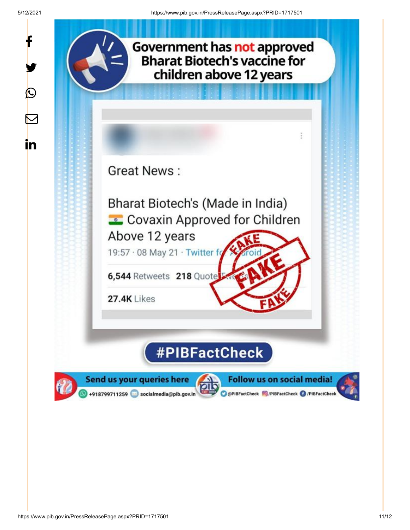